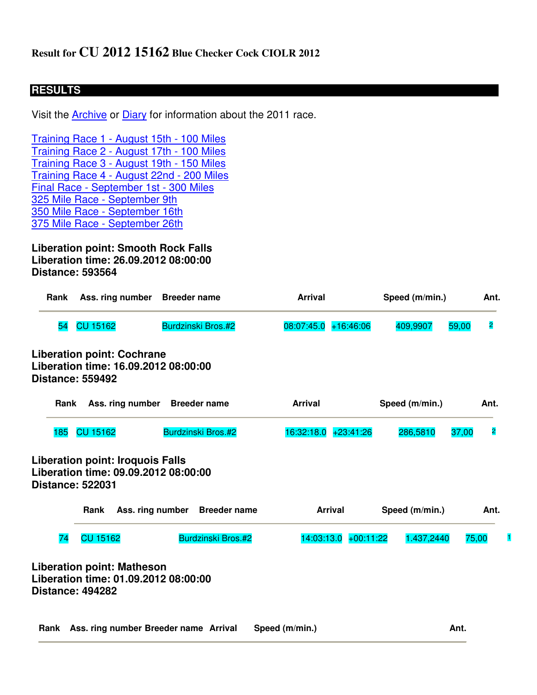## **RESULTS**

Visit the **Archive or Diary** for information about the 2011 race.

Training Race 1 - August 15th - 100 Miles Training Race 2 - August 17th - 100 Miles Training Race 3 - August 19th - 150 Miles Training Race 4 - August 22nd - 200 Miles Final Race - September 1st - 300 Miles 325 Mile Race - September 9th 350 Mile Race - September 16th 375 Mile Race - September 26th

**Liberation point: Smooth Rock Falls Liberation time: 26.09.2012 08:00:00 Distance: 593564**

|                         | Ass. ring number Breeder name                                                                    |                                                                                                                                                                                         | <b>Arrival</b> |                                            | Speed (m/min.) |                              |
|-------------------------|--------------------------------------------------------------------------------------------------|-----------------------------------------------------------------------------------------------------------------------------------------------------------------------------------------|----------------|--------------------------------------------|----------------|------------------------------|
| <b>CU 15162</b>         | Burdzinski Bros.#2                                                                               | 08:07:45.0                                                                                                                                                                              | $+16:46:06$    | 409,9907                                   | 59,00          | $\overline{\mathbf{c}}$      |
| <b>Distance: 559492</b> |                                                                                                  |                                                                                                                                                                                         |                |                                            |                |                              |
|                         |                                                                                                  | <b>Arrival</b>                                                                                                                                                                          |                | Speed (m/min.)                             |                | Ant.                         |
| <b>CU 15162</b>         |                                                                                                  |                                                                                                                                                                                         | $+23:41:26$    | 286,5810                                   | 37,00          | $\overline{\mathbf{2}}$      |
| <b>Distance: 522031</b> |                                                                                                  |                                                                                                                                                                                         |                |                                            |                |                              |
| Rank                    |                                                                                                  |                                                                                                                                                                                         |                |                                            |                | Ant.                         |
| <b>CU 15162</b>         |                                                                                                  |                                                                                                                                                                                         |                |                                            |                | 75,00                        |
|                         | <b>Liberation point: Cochrane</b><br>Ass. ring number<br><b>Liberation point: Iroquois Falls</b> | Liberation time: 16.09.2012 08:00:00<br><b>Breeder name</b><br>Burdzinski Bros.#2<br>Liberation time: 09.09.2012 08:00:00<br>Ass. ring number Breeder name<br><b>Burdzinski Bros.#2</b> |                | 16:32:18.0<br><b>Arrival</b><br>14:03:13.0 | $+00:11:22$    | Speed (m/min.)<br>1.437,2440 |